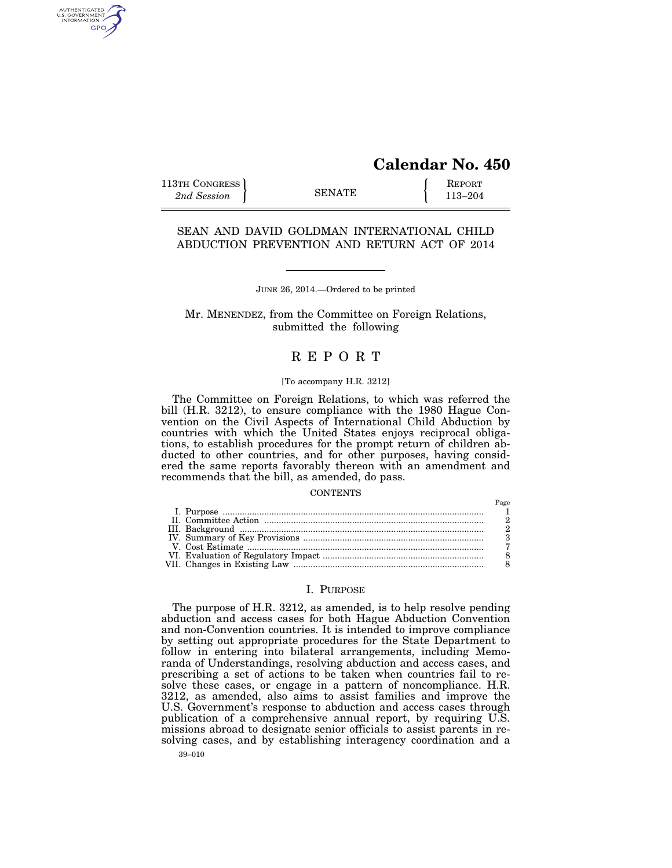# **Calendar No. 450**

113TH CONGRESS **REPORT** 2nd Session **113–204 CONGRESS EXAMPLE** 113–204

AUTHENTICATED<br>U.S. GOVERNMENT<br>INFORMATION GPO

# SEAN AND DAVID GOLDMAN INTERNATIONAL CHILD ABDUCTION PREVENTION AND RETURN ACT OF 2014

# JUNE 26, 2014.—Ordered to be printed

Mr. MENENDEZ, from the Committee on Foreign Relations, submitted the following

# R E P O R T

#### [To accompany H.R. 3212]

The Committee on Foreign Relations, to which was referred the bill (H.R. 3212), to ensure compliance with the 1980 Hague Convention on the Civil Aspects of International Child Abduction by countries with which the United States enjoys reciprocal obligations, to establish procedures for the prompt return of children abducted to other countries, and for other purposes, having considered the same reports favorably thereon with an amendment and recommends that the bill, as amended, do pass.

#### **CONTENTS**

### I. PURPOSE

39–010 The purpose of H.R. 3212, as amended, is to help resolve pending abduction and access cases for both Hague Abduction Convention and non-Convention countries. It is intended to improve compliance by setting out appropriate procedures for the State Department to follow in entering into bilateral arrangements, including Memoranda of Understandings, resolving abduction and access cases, and prescribing a set of actions to be taken when countries fail to resolve these cases, or engage in a pattern of noncompliance. H.R. 3212, as amended, also aims to assist families and improve the U.S. Government's response to abduction and access cases through publication of a comprehensive annual report, by requiring U.S. missions abroad to designate senior officials to assist parents in resolving cases, and by establishing interagency coordination and a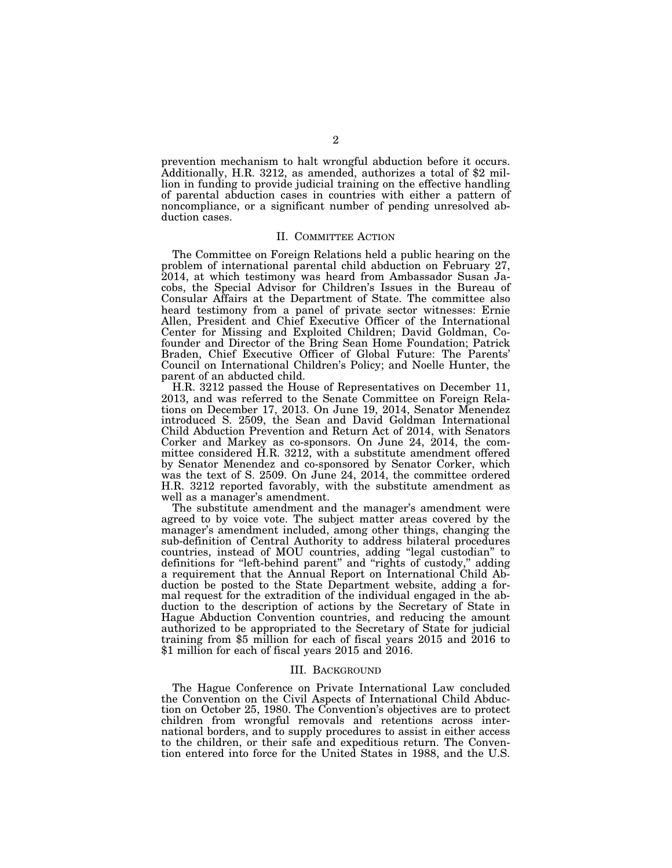prevention mechanism to halt wrongful abduction before it occurs. Additionally, H.R. 3212, as amended, authorizes a total of \$2 million in funding to provide judicial training on the effective handling of parental abduction cases in countries with either a pattern of noncompliance, or a significant number of pending unresolved abduction cases.

### II. COMMITTEE ACTION

The Committee on Foreign Relations held a public hearing on the problem of international parental child abduction on February 27, 2014, at which testimony was heard from Ambassador Susan Jacobs, the Special Advisor for Children's Issues in the Bureau of Consular Affairs at the Department of State. The committee also heard testimony from a panel of private sector witnesses: Ernie Allen, President and Chief Executive Officer of the International Center for Missing and Exploited Children; David Goldman, Cofounder and Director of the Bring Sean Home Foundation; Patrick Braden, Chief Executive Officer of Global Future: The Parents' Council on International Children's Policy; and Noelle Hunter, the parent of an abducted child.

H.R. 3212 passed the House of Representatives on December 11, 2013, and was referred to the Senate Committee on Foreign Relations on December 17, 2013. On June 19, 2014, Senator Menendez introduced S. 2509, the Sean and David Goldman International Child Abduction Prevention and Return Act of 2014, with Senators Corker and Markey as co-sponsors. On June 24, 2014, the committee considered H.R. 3212, with a substitute amendment offered by Senator Menendez and co-sponsored by Senator Corker, which was the text of S. 2509. On June 24, 2014, the committee ordered H.R. 3212 reported favorably, with the substitute amendment as well as a manager's amendment.

The substitute amendment and the manager's amendment were agreed to by voice vote. The subject matter areas covered by the manager's amendment included, among other things, changing the sub-definition of Central Authority to address bilateral procedures countries, instead of MOU countries, adding ''legal custodian'' to definitions for ''left-behind parent'' and ''rights of custody,'' adding a requirement that the Annual Report on International Child Abduction be posted to the State Department website, adding a formal request for the extradition of the individual engaged in the abduction to the description of actions by the Secretary of State in Hague Abduction Convention countries, and reducing the amount authorized to be appropriated to the Secretary of State for judicial training from \$5 million for each of fiscal years 2015 and 2016 to \$1 million for each of fiscal years 2015 and 2016.

#### III. BACKGROUND

The Hague Conference on Private International Law concluded the Convention on the Civil Aspects of International Child Abduction on October 25, 1980. The Convention's objectives are to protect children from wrongful removals and retentions across international borders, and to supply procedures to assist in either access to the children, or their safe and expeditious return. The Convention entered into force for the United States in 1988, and the U.S.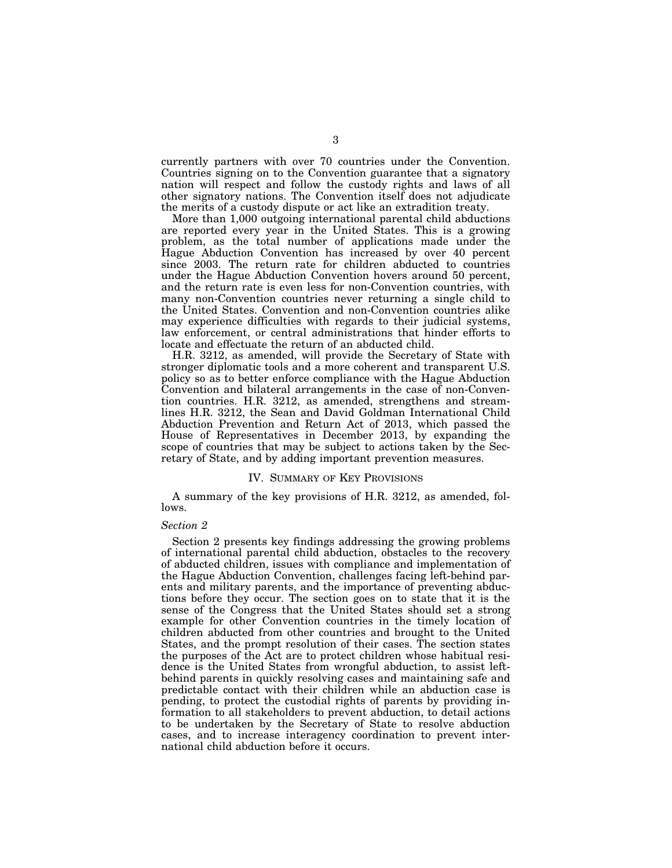currently partners with over 70 countries under the Convention. Countries signing on to the Convention guarantee that a signatory nation will respect and follow the custody rights and laws of all other signatory nations. The Convention itself does not adjudicate the merits of a custody dispute or act like an extradition treaty.

More than 1,000 outgoing international parental child abductions are reported every year in the United States. This is a growing problem, as the total number of applications made under the Hague Abduction Convention has increased by over 40 percent since 2003. The return rate for children abducted to countries under the Hague Abduction Convention hovers around 50 percent, and the return rate is even less for non-Convention countries, with many non-Convention countries never returning a single child to the United States. Convention and non-Convention countries alike may experience difficulties with regards to their judicial systems, law enforcement, or central administrations that hinder efforts to locate and effectuate the return of an abducted child.

H.R. 3212, as amended, will provide the Secretary of State with stronger diplomatic tools and a more coherent and transparent U.S. policy so as to better enforce compliance with the Hague Abduction Convention and bilateral arrangements in the case of non-Convention countries. H.R. 3212, as amended, strengthens and streamlines H.R. 3212, the Sean and David Goldman International Child Abduction Prevention and Return Act of 2013, which passed the House of Representatives in December 2013, by expanding the scope of countries that may be subject to actions taken by the Secretary of State, and by adding important prevention measures.

#### IV. SUMMARY OF KEY PROVISIONS

A summary of the key provisions of H.R. 3212, as amended, follows.

#### *Section 2*

Section 2 presents key findings addressing the growing problems of international parental child abduction, obstacles to the recovery of abducted children, issues with compliance and implementation of the Hague Abduction Convention, challenges facing left-behind parents and military parents, and the importance of preventing abductions before they occur. The section goes on to state that it is the sense of the Congress that the United States should set a strong example for other Convention countries in the timely location of children abducted from other countries and brought to the United States, and the prompt resolution of their cases. The section states the purposes of the Act are to protect children whose habitual residence is the United States from wrongful abduction, to assist leftbehind parents in quickly resolving cases and maintaining safe and predictable contact with their children while an abduction case is pending, to protect the custodial rights of parents by providing information to all stakeholders to prevent abduction, to detail actions to be undertaken by the Secretary of State to resolve abduction cases, and to increase interagency coordination to prevent international child abduction before it occurs.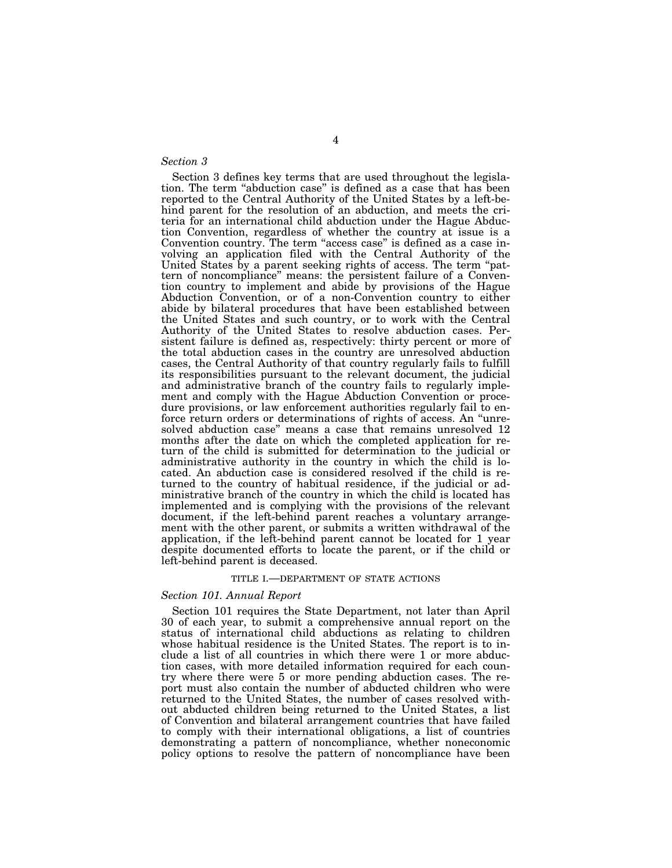### *Section 3*

Section 3 defines key terms that are used throughout the legislation. The term ''abduction case'' is defined as a case that has been reported to the Central Authority of the United States by a left-behind parent for the resolution of an abduction, and meets the criteria for an international child abduction under the Hague Abduction Convention, regardless of whether the country at issue is a Convention country. The term "access case" is defined as a case involving an application filed with the Central Authority of the United States by a parent seeking rights of access. The term ''pattern of noncompliance'' means: the persistent failure of a Convention country to implement and abide by provisions of the Hague Abduction Convention, or of a non-Convention country to either abide by bilateral procedures that have been established between the United States and such country, or to work with the Central Authority of the United States to resolve abduction cases. Persistent failure is defined as, respectively: thirty percent or more of the total abduction cases in the country are unresolved abduction cases, the Central Authority of that country regularly fails to fulfill its responsibilities pursuant to the relevant document, the judicial and administrative branch of the country fails to regularly implement and comply with the Hague Abduction Convention or procedure provisions, or law enforcement authorities regularly fail to enforce return orders or determinations of rights of access. An ''unresolved abduction case'' means a case that remains unresolved 12 months after the date on which the completed application for return of the child is submitted for determination to the judicial or administrative authority in the country in which the child is located. An abduction case is considered resolved if the child is returned to the country of habitual residence, if the judicial or administrative branch of the country in which the child is located has implemented and is complying with the provisions of the relevant document, if the left-behind parent reaches a voluntary arrangement with the other parent, or submits a written withdrawal of the application, if the left-behind parent cannot be located for 1 year despite documented efforts to locate the parent, or if the child or left-behind parent is deceased.

#### TITLE I.—DEPARTMENT OF STATE ACTIONS

#### *Section 101. Annual Report*

Section 101 requires the State Department, not later than April 30 of each year, to submit a comprehensive annual report on the status of international child abductions as relating to children whose habitual residence is the United States. The report is to include a list of all countries in which there were 1 or more abduction cases, with more detailed information required for each country where there were 5 or more pending abduction cases. The report must also contain the number of abducted children who were returned to the United States, the number of cases resolved without abducted children being returned to the United States, a list of Convention and bilateral arrangement countries that have failed to comply with their international obligations, a list of countries demonstrating a pattern of noncompliance, whether noneconomic policy options to resolve the pattern of noncompliance have been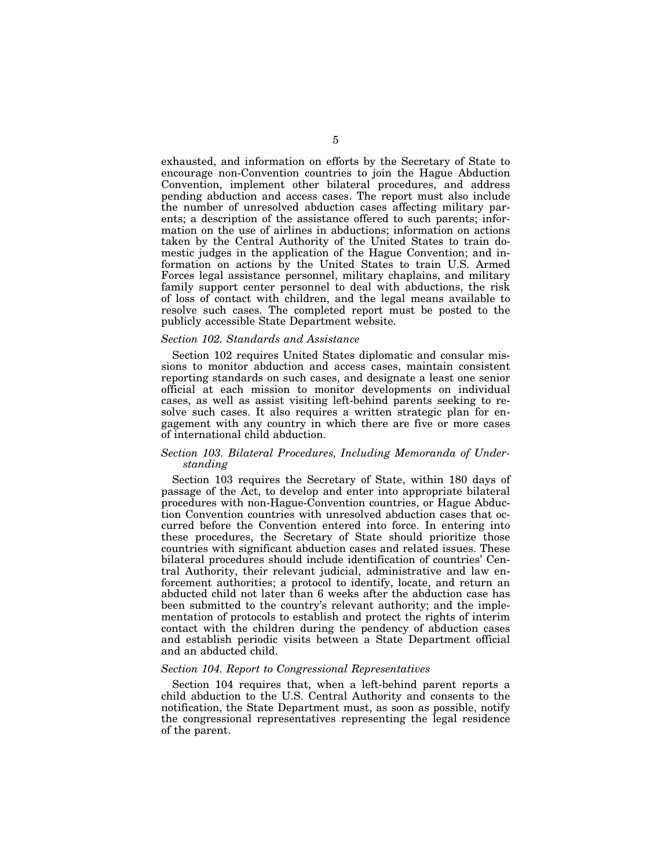exhausted, and information on efforts by the Secretary of State to encourage non-Convention countries to join the Hague Abduction Convention, implement other bilateral procedures, and address pending abduction and access cases. The report must also include the number of unresolved abduction cases affecting military parents; a description of the assistance offered to such parents; information on the use of airlines in abductions; information on actions taken by the Central Authority of the United States to train domestic judges in the application of the Hague Convention; and information on actions by the United States to train U.S. Armed Forces legal assistance personnel, military chaplains, and military family support center personnel to deal with abductions, the risk of loss of contact with children, and the legal means available to resolve such cases. The completed report must be posted to the publicly accessible State Department website.

### *Section 102. Standards and Assistance*

Section 102 requires United States diplomatic and consular missions to monitor abduction and access cases, maintain consistent reporting standards on such cases, and designate a least one senior official at each mission to monitor developments on individual cases, as well as assist visiting left-behind parents seeking to resolve such cases. It also requires a written strategic plan for engagement with any country in which there are five or more cases of international child abduction.

# *Section 103. Bilateral Procedures, Including Memoranda of Understanding*

Section 103 requires the Secretary of State, within 180 days of passage of the Act, to develop and enter into appropriate bilateral procedures with non-Hague-Convention countries, or Hague Abduction Convention countries with unresolved abduction cases that occurred before the Convention entered into force. In entering into these procedures, the Secretary of State should prioritize those countries with significant abduction cases and related issues. These bilateral procedures should include identification of countries' Central Authority, their relevant judicial, administrative and law enforcement authorities; a protocol to identify, locate, and return an abducted child not later than 6 weeks after the abduction case has been submitted to the country's relevant authority; and the implementation of protocols to establish and protect the rights of interim contact with the children during the pendency of abduction cases and establish periodic visits between a State Department official and an abducted child.

### *Section 104. Report to Congressional Representatives*

Section 104 requires that, when a left-behind parent reports a child abduction to the U.S. Central Authority and consents to the notification, the State Department must, as soon as possible, notify the congressional representatives representing the legal residence of the parent.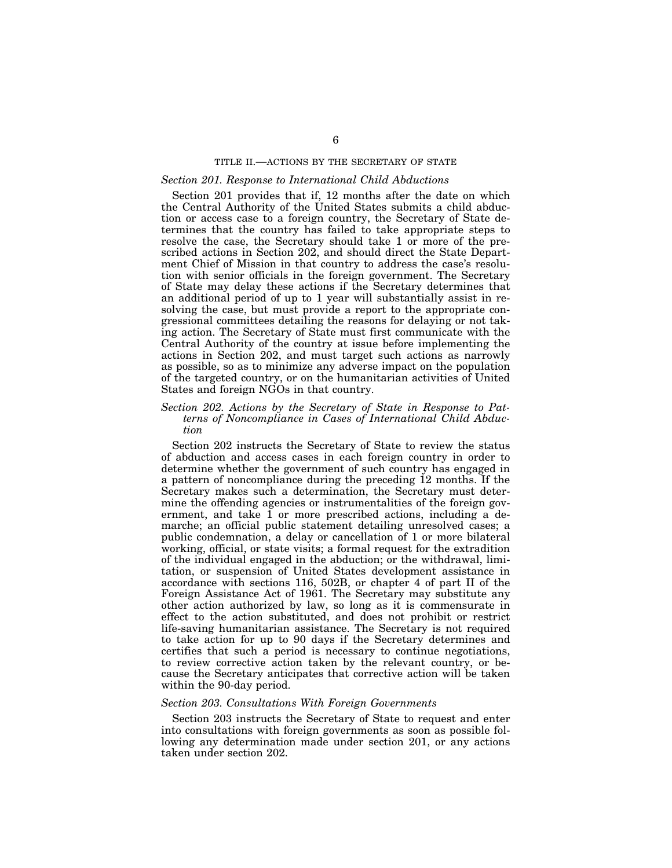## TITLE II.—ACTIONS BY THE SECRETARY OF STATE

## *Section 201. Response to International Child Abductions*

Section 201 provides that if, 12 months after the date on which the Central Authority of the United States submits a child abduction or access case to a foreign country, the Secretary of State determines that the country has failed to take appropriate steps to resolve the case, the Secretary should take 1 or more of the prescribed actions in Section 202, and should direct the State Department Chief of Mission in that country to address the case's resolution with senior officials in the foreign government. The Secretary of State may delay these actions if the Secretary determines that an additional period of up to 1 year will substantially assist in resolving the case, but must provide a report to the appropriate congressional committees detailing the reasons for delaying or not taking action. The Secretary of State must first communicate with the Central Authority of the country at issue before implementing the actions in Section 202, and must target such actions as narrowly as possible, so as to minimize any adverse impact on the population of the targeted country, or on the humanitarian activities of United States and foreign NGOs in that country.

#### *Section 202. Actions by the Secretary of State in Response to Patterns of Noncompliance in Cases of International Child Abduction*

Section 202 instructs the Secretary of State to review the status of abduction and access cases in each foreign country in order to determine whether the government of such country has engaged in a pattern of noncompliance during the preceding 12 months. If the Secretary makes such a determination, the Secretary must determine the offending agencies or instrumentalities of the foreign government, and take 1 or more prescribed actions, including a demarche; an official public statement detailing unresolved cases; a public condemnation, a delay or cancellation of 1 or more bilateral working, official, or state visits; a formal request for the extradition of the individual engaged in the abduction; or the withdrawal, limitation, or suspension of United States development assistance in accordance with sections 116, 502B, or chapter 4 of part II of the Foreign Assistance Act of 1961. The Secretary may substitute any other action authorized by law, so long as it is commensurate in effect to the action substituted, and does not prohibit or restrict life-saving humanitarian assistance. The Secretary is not required to take action for up to 90 days if the Secretary determines and certifies that such a period is necessary to continue negotiations, to review corrective action taken by the relevant country, or because the Secretary anticipates that corrective action will be taken within the 90-day period.

# *Section 203. Consultations With Foreign Governments*

Section 203 instructs the Secretary of State to request and enter into consultations with foreign governments as soon as possible following any determination made under section 201, or any actions taken under section 202.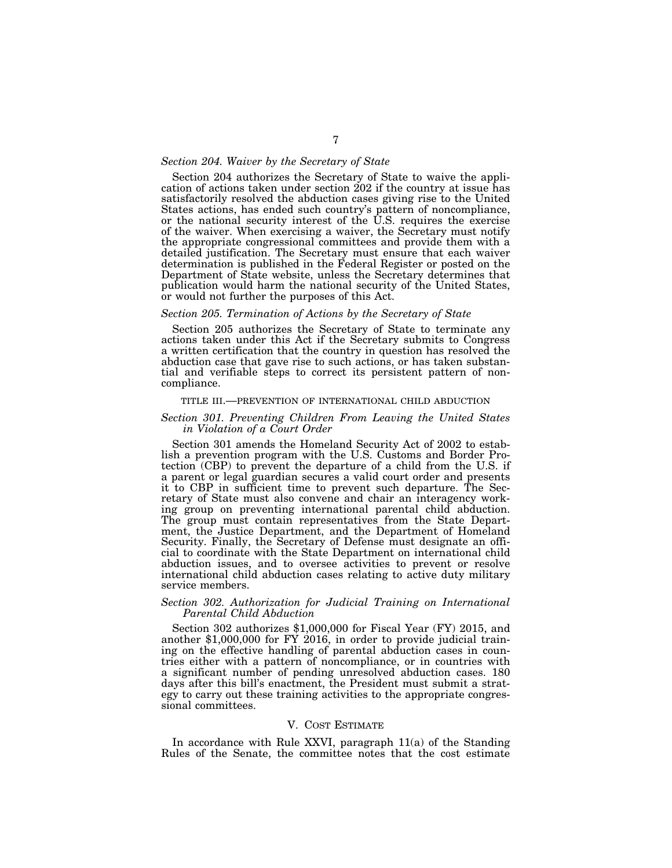### *Section 204. Waiver by the Secretary of State*

Section 204 authorizes the Secretary of State to waive the application of actions taken under section 202 if the country at issue has satisfactorily resolved the abduction cases giving rise to the United States actions, has ended such country's pattern of noncompliance, or the national security interest of the U.S. requires the exercise of the waiver. When exercising a waiver, the Secretary must notify the appropriate congressional committees and provide them with a detailed justification. The Secretary must ensure that each waiver determination is published in the Federal Register or posted on the Department of State website, unless the Secretary determines that publication would harm the national security of the United States, or would not further the purposes of this Act.

#### *Section 205. Termination of Actions by the Secretary of State*

Section 205 authorizes the Secretary of State to terminate any actions taken under this Act if the Secretary submits to Congress a written certification that the country in question has resolved the abduction case that gave rise to such actions, or has taken substantial and verifiable steps to correct its persistent pattern of noncompliance.

#### TITLE III.—PREVENTION OF INTERNATIONAL CHILD ABDUCTION

#### *Section 301. Preventing Children From Leaving the United States in Violation of a Court Order*

Section 301 amends the Homeland Security Act of 2002 to establish a prevention program with the U.S. Customs and Border Protection (CBP) to prevent the departure of a child from the U.S. if a parent or legal guardian secures a valid court order and presents it to CBP in sufficient time to prevent such departure. The Secretary of State must also convene and chair an interagency working group on preventing international parental child abduction. The group must contain representatives from the State Department, the Justice Department, and the Department of Homeland Security. Finally, the Secretary of Defense must designate an official to coordinate with the State Department on international child abduction issues, and to oversee activities to prevent or resolve international child abduction cases relating to active duty military service members.

## *Section 302. Authorization for Judicial Training on International Parental Child Abduction*

Section 302 authorizes \$1,000,000 for Fiscal Year (FY) 2015, and another \$1,000,000 for FY 2016, in order to provide judicial training on the effective handling of parental abduction cases in countries either with a pattern of noncompliance, or in countries with a significant number of pending unresolved abduction cases. 180 days after this bill's enactment, the President must submit a strategy to carry out these training activities to the appropriate congressional committees.

### V. COST ESTIMATE

In accordance with Rule XXVI, paragraph 11(a) of the Standing Rules of the Senate, the committee notes that the cost estimate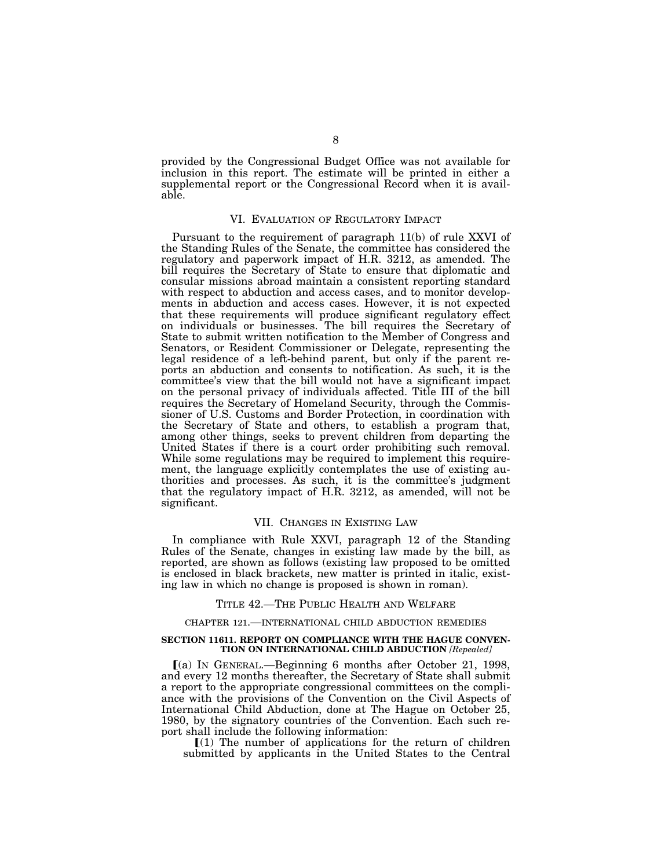provided by the Congressional Budget Office was not available for inclusion in this report. The estimate will be printed in either a supplemental report or the Congressional Record when it is available.

#### VI. EVALUATION OF REGULATORY IMPACT

Pursuant to the requirement of paragraph 11(b) of rule XXVI of the Standing Rules of the Senate, the committee has considered the regulatory and paperwork impact of H.R. 3212, as amended. The bill requires the Secretary of State to ensure that diplomatic and consular missions abroad maintain a consistent reporting standard with respect to abduction and access cases, and to monitor developments in abduction and access cases. However, it is not expected that these requirements will produce significant regulatory effect on individuals or businesses. The bill requires the Secretary of State to submit written notification to the Member of Congress and Senators, or Resident Commissioner or Delegate, representing the legal residence of a left-behind parent, but only if the parent reports an abduction and consents to notification. As such, it is the committee's view that the bill would not have a significant impact on the personal privacy of individuals affected. Title III of the bill requires the Secretary of Homeland Security, through the Commissioner of U.S. Customs and Border Protection, in coordination with the Secretary of State and others, to establish a program that, among other things, seeks to prevent children from departing the United States if there is a court order prohibiting such removal. While some regulations may be required to implement this requirement, the language explicitly contemplates the use of existing authorities and processes. As such, it is the committee's judgment that the regulatory impact of H.R. 3212, as amended, will not be significant.

### VII. CHANGES IN EXISTING LAW

In compliance with Rule XXVI, paragraph 12 of the Standing Rules of the Senate, changes in existing law made by the bill, as reported, are shown as follows (existing law proposed to be omitted is enclosed in black brackets, new matter is printed in italic, existing law in which no change is proposed is shown in roman).

#### TITLE 42.—THE PUBLIC HEALTH AND WELFARE

#### CHAPTER 121.—INTERNATIONAL CHILD ABDUCTION REMEDIES

#### **SECTION 11611. REPORT ON COMPLIANCE WITH THE HAGUE CONVEN-TION ON INTERNATIONAL CHILD ABDUCTION** *[Repealed]*

ø(a) IN GENERAL.—Beginning 6 months after October 21, 1998, and every 12 months thereafter, the Secretary of State shall submit a report to the appropriate congressional committees on the compliance with the provisions of the Convention on the Civil Aspects of International Child Abduction, done at The Hague on October 25, 1980, by the signatory countries of the Convention. Each such report shall include the following information:

 $\llbracket$ (1) The number of applications for the return of children submitted by applicants in the United States to the Central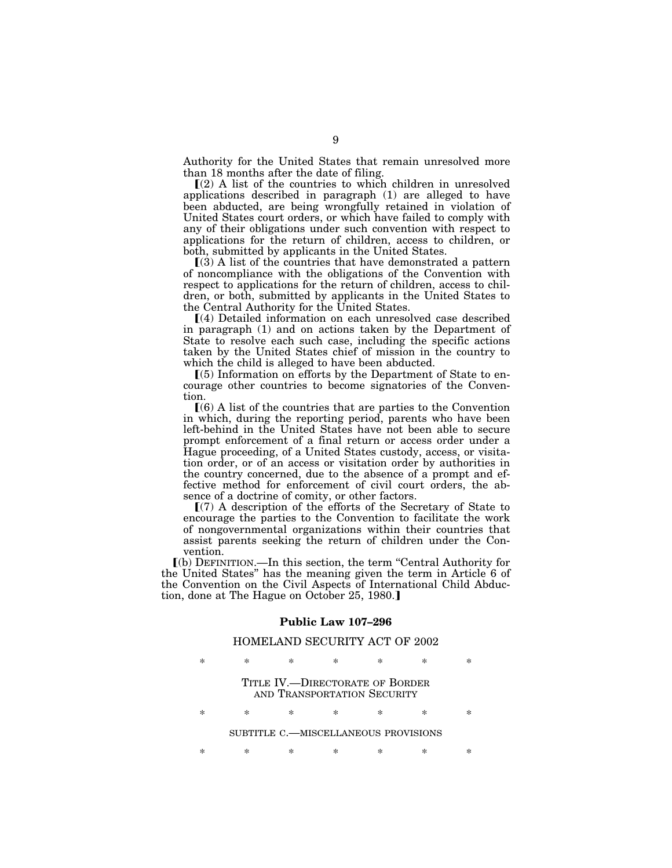Authority for the United States that remain unresolved more than 18 months after the date of filing.

 $(2)$  A list of the countries to which children in unresolved applications described in paragraph (1) are alleged to have been abducted, are being wrongfully retained in violation of United States court orders, or which have failed to comply with any of their obligations under such convention with respect to applications for the return of children, access to children, or both, submitted by applicants in the United States.

 $(3)$  A list of the countries that have demonstrated a pattern of noncompliance with the obligations of the Convention with respect to applications for the return of children, access to children, or both, submitted by applicants in the United States to the Central Authority for the United States.

ø(4) Detailed information on each unresolved case described in paragraph (1) and on actions taken by the Department of State to resolve each such case, including the specific actions taken by the United States chief of mission in the country to which the child is alleged to have been abducted.

 $(5)$  Information on efforts by the Department of State to encourage other countries to become signatories of the Convention.

 $(6)$  A list of the countries that are parties to the Convention in which, during the reporting period, parents who have been left-behind in the United States have not been able to secure prompt enforcement of a final return or access order under a Hague proceeding, of a United States custody, access, or visitation order, or of an access or visitation order by authorities in the country concerned, due to the absence of a prompt and effective method for enforcement of civil court orders, the absence of a doctrine of comity, or other factors.

 $(7)$  A description of the efforts of the Secretary of State to encourage the parties to the Convention to facilitate the work of nongovernmental organizations within their countries that assist parents seeking the return of children under the Convention.

ø(b) DEFINITION.—In this section, the term ''Central Authority for the United States'' has the meaning given the term in Article 6 of the Convention on the Civil Aspects of International Child Abduction, done at The Hague on October 25, 1980.

## **Public Law 107–296**

# HOMELAND SECURITY ACT OF 2002

|                                                                |   |   | ×  | $\ast$ | $\ast$ |   |  |  |
|----------------------------------------------------------------|---|---|----|--------|--------|---|--|--|
| TITLE IV.—DIRECTORATE OF BORDER<br>AND TRANSPORTATION SECURITY |   |   |    |        |        |   |  |  |
|                                                                | × | × | ×. | ×      | ×      | × |  |  |
| SUBTITLE C.-MISCELLANEOUS PROVISIONS                           |   |   |    |        |        |   |  |  |
|                                                                |   |   |    |        |        |   |  |  |